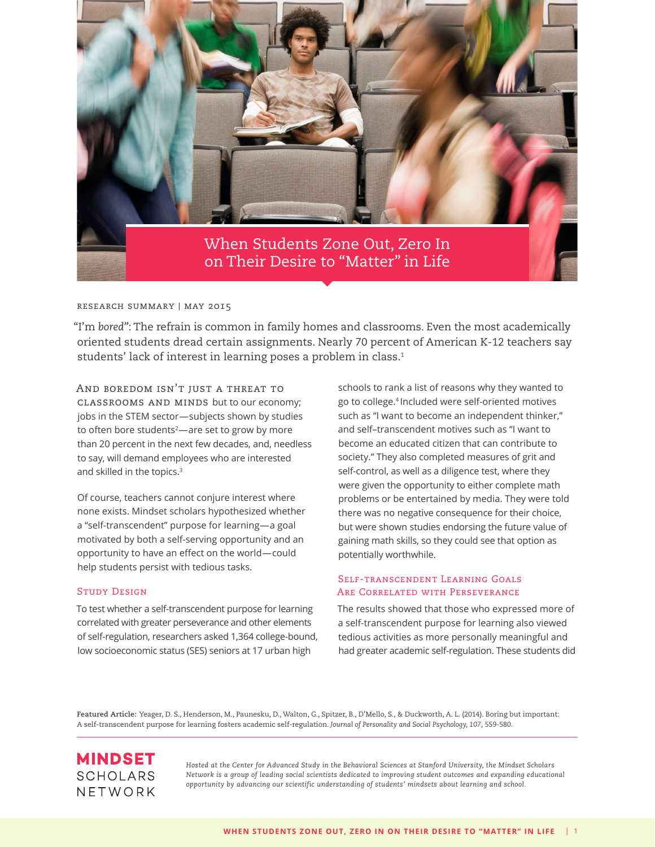

#### research summary | may 2015

"I'm *bored"*: The refrain is common in family homes and classrooms. Even the most academically oriented students dread certain assignments. Nearly 70 percent of American K-12 teachers say students' lack of interest in learning poses a problem in class.<sup>1</sup>

And boredom isn't just a threat to classrooms and minds but to our economy; jobs in the STEM sector—subjects shown by studies to often bore students<sup>2</sup>—are set to grow by more than 20 percent in the next few decades, and, needless to say, will demand employees who are interested and skilled in the topics.<sup>3</sup>

Of course, teachers cannot conjure interest where none exists. Mindset scholars hypothesized whether a "self-transcendent" purpose for learning—a goal motivated by both a self-serving opportunity and an opportunity to have an effect on the world—could help students persist with tedious tasks.

### Study Design

To test whether a self-transcendent purpose for learning correlated with greater perseverance and other elements of self-regulation, researchers asked 1,364 college-bound, low socioeconomic status (SES) seniors at 17 urban high

schools to rank a list of reasons why they wanted to go to college.4 Included were self-oriented motives such as "I want to become an independent thinker," and self–transcendent motives such as "I want to become an educated citizen that can contribute to society." They also completed measures of grit and self-control, as well as a diligence test, where they were given the opportunity to either complete math problems or be entertained by media. They were told there was no negative consequence for their choice, but were shown studies endorsing the future value of gaining math skills, so they could see that option as potentially worthwhile.

## Self-transcendent Learning Goals Are Correlated with Perseverance

The results showed that those who expressed more of a self-transcendent purpose for learning also viewed tedious activities as more personally meaningful and had greater academic self-regulation. These students did

**Featured Article:** Yeager, D. S., Henderson, M., Paunesku, D., Walton, G., Spitzer, B., D'Mello, S., & Duckworth, A. L. (2014). Boring but important: A self-transcendent purpose for learning fosters academic self-regulation. *Journal of Personality and Social Psychology, 107,* 559-580.

# **MINDSET SCHOLARS** NETWORK

*Hosted at the Center for Advanced Study in the Behavioral Sciences at Stanford University, the Mindset Scholars Network is a group of leading social scientists dedicated to improving student outcomes and expanding educational opportunity by advancing our scientific understanding of students' mindsets about learning and school.*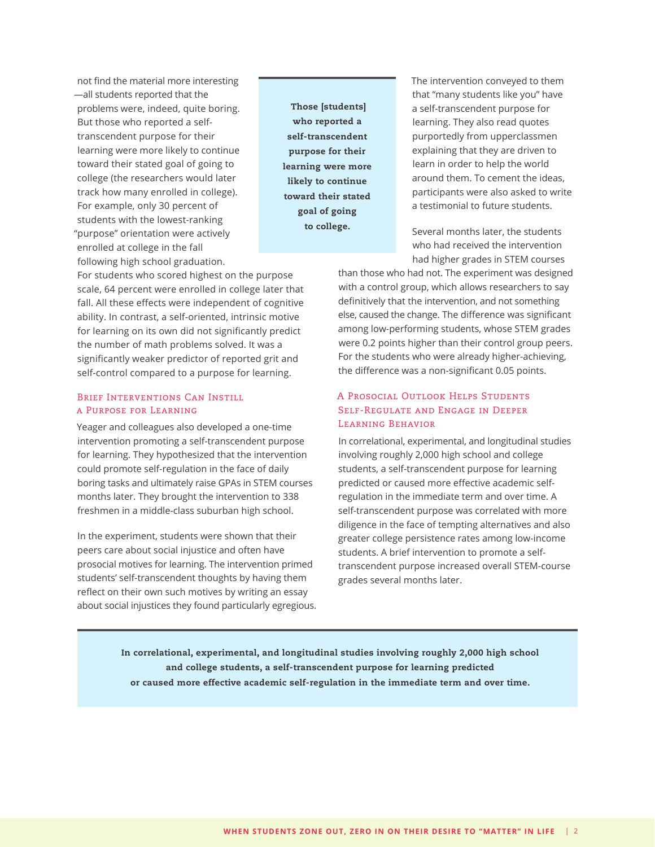not find the material more interesting —all students reported that the problems were, indeed, quite boring. But those who reported a selftranscendent purpose for their learning were more likely to continue toward their stated goal of going to college (the researchers would later track how many enrolled in college). For example, only 30 percent of students with the lowest-ranking "purpose" orientation were actively enrolled at college in the fall following high school graduation.

 Those [students] who reported a self-transcendent purpose for their learning were more likely to continue toward their stated goal of going to college.

The intervention conveyed to them that "many students like you" have a self-transcendent purpose for learning. They also read quotes purportedly from upperclassmen explaining that they are driven to learn in order to help the world around them. To cement the ideas, participants were also asked to write a testimonial to future students.

Several months later, the students who had received the intervention had higher grades in STEM courses

For students who scored highest on the purpose scale, 64 percent were enrolled in college later that fall. All these effects were independent of cognitive ability. In contrast, a self-oriented, intrinsic motive for learning on its own did not significantly predict the number of math problems solved. It was a significantly weaker predictor of reported grit and self-control compared to a purpose for learning.

### Brief Interventions Can Instill a Purpose for Learning

Yeager and colleagues also developed a one-time intervention promoting a self-transcendent purpose for learning. They hypothesized that the intervention could promote self-regulation in the face of daily boring tasks and ultimately raise GPAs in STEM courses months later. They brought the intervention to 338 freshmen in a middle-class suburban high school.

In the experiment, students were shown that their peers care about social injustice and often have prosocial motives for learning. The intervention primed students' self-transcendent thoughts by having them reflect on their own such motives by writing an essay about social injustices they found particularly egregious. than those who had not. The experiment was designed with a control group, which allows researchers to say definitively that the intervention, and not something else, caused the change. The difference was significant among low-performing students, whose STEM grades were 0.2 points higher than their control group peers. For the students who were already higher-achieving, the difference was a non-significant 0.05 points.

# A Prosocial Outlook Helps Students Self-Regulate and Engage in Deeper LEARNING BEHAVIOR

In correlational, experimental, and longitudinal studies involving roughly 2,000 high school and college students, a self-transcendent purpose for learning predicted or caused more effective academic selfregulation in the immediate term and over time. A self-transcendent purpose was correlated with more diligence in the face of tempting alternatives and also greater college persistence rates among low-income students. A brief intervention to promote a selftranscendent purpose increased overall STEM-course grades several months later.

In correlational, experimental, and longitudinal studies involving roughly 2,000 high school and college students, a self-transcendent purpose for learning predicted or caused more effective academic self-regulation in the immediate term and over time.